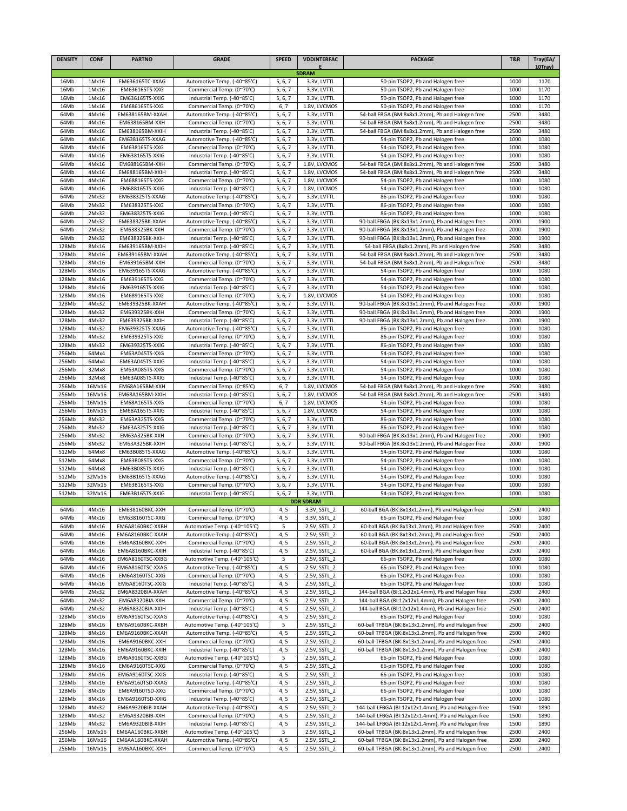| <b>DENSITY</b> | <b>CONF</b>     | <b>PARTNO</b>                       | <b>GRADE</b>                                               | <b>SPEED</b>       | <b>VDDINTERFAC</b>           | <b>PACKAGE</b>                                                                                               | <b>T&amp;R</b> | Tray(EA/     |
|----------------|-----------------|-------------------------------------|------------------------------------------------------------|--------------------|------------------------------|--------------------------------------------------------------------------------------------------------------|----------------|--------------|
|                |                 |                                     |                                                            |                    | <b>SDRAM</b>                 |                                                                                                              |                | 10Trav)      |
| 16Mb           | 1Mx16           | EM636165TC-XXAG                     | Automotive Temp. (-40~85'C)                                | 5, 6, 7            | 3.3V, LVTTL                  | 50-pin TSOP2, Pb and Halogen free                                                                            | 1000           | 1170         |
| 16Mb           | 1Mx16           | EM636165TS-XXG                      | Commercial Temp. (0~70'C)                                  | 5, 6, 7            | 3.3V, LVTTL                  | 50-pin TSOP2, Pb and Halogen free                                                                            | 1000           | 1170         |
| 16Mb           | 1Mx16           | EM636165TS-XXIG                     | Industrial Temp. (-40~85'C)                                | 5, 6, 7            | 3.3V, LVTTL                  | 50-pin TSOP2, Pb and Halogen free                                                                            | 1000           | 1170         |
| 16Mb           | 1Mx16           | EM686165TS-XXG                      | Commercial Temp. (0~70'C)                                  | 6, 7               | 1.8V, LVCMOS                 | 50-pin TSOP2, Pb and Halogen free                                                                            | 1000           | 1170         |
| 64Mb           | 4Mx16           | EM638165BM-XXAH                     | Automotive Temp. (-40~85'C)                                | 5, 6, 7            | 3.3V. LVTTL                  | 54-ball FBGA (BM:8x8x1.2mm), Pb and Halogen free                                                             | 2500           | 3480         |
| 64Mb           | 4Mx16           | EM638165BM-XXH                      | Commercial Temp. (0~70'C)                                  | 5, 6, 7            | 3.3V, LVTTL                  | 54-ball FBGA (BM:8x8x1.2mm), Pb and Halogen free                                                             | 2500           | 3480         |
| 64Mb           | 4Mx16           | EM638165BM-XXIH                     | Industrial Temp. (-40~85'C)                                | 5, 6, 7            | 3.3V, LVTTL                  | 54-ball FBGA (BM:8x8x1.2mm), Pb and Halogen free                                                             | 2500           | 3480         |
| 64Mb           | 4Mx16<br>4Mx16  | EM638165TS-XXAG                     | Automotive Temp. (-40~85'C)                                | 5, 6, 7            | 3.3V, LVTTL                  | 54-pin TSOP2, Pb and Halogen free                                                                            | 1000           | 1080         |
| 64Mb<br>64Mb   | 4Mx16           | EM638165TS-XXG<br>EM638165TS-XXIG   | Commercial Temp. (0~70'C)<br>Industrial Temp. (-40~85'C)   | 5, 6, 7<br>5, 6, 7 | 3.3V, LVTTL<br>3.3V, LVTTL   | 54-pin TSOP2, Pb and Halogen free<br>54-pin TSOP2, Pb and Halogen free                                       | 1000<br>1000   | 1080<br>1080 |
| 64Mb           | 4Mx16           | EM688165BM-XXH                      | Commercial Temp. (0~70'C)                                  | 5, 6, 7            | 1.8V, LVCMOS                 | 54-ball FBGA (BM:8x8x1.2mm), Pb and Halogen free                                                             | 2500           | 3480         |
| 64Mb           | 4Mx16           | EM688165BM-XXIH                     | Industrial Temp. (-40~85'C)                                | 5, 6, 7            | 1.8V, LVCMOS                 | 54-ball FBGA (BM:8x8x1.2mm), Pb and Halogen free                                                             | 2500           | 3480         |
| 64Mb           | 4Mx16           | EM688165TS-XXG                      | Commercial Temp. (0~70'C)                                  | 5, 6, 7            | 1.8V, LVCMOS                 | 54-pin TSOP2, Pb and Halogen free                                                                            | 1000           | 1080         |
| 64Mb           | 4Mx16           | EM688165TS-XXIG                     | Industrial Temp. (-40~85'C)                                | 5, 6, 7            | 1.8V, LVCMOS                 | 54-pin TSOP2, Pb and Halogen free                                                                            | 1000           | 1080         |
| 64Mb           | 2Mx32           | <b>EM638325TS-XXAG</b>              | Automotive Temp. (-40~85'C)                                | 5, 6, 7            | 3.3V, LVTTL                  | 86-pin TSOP2, Pb and Halogen free                                                                            | 1000           | 1080         |
| 64Mb           | 2Mx32           | EM638325TS-XXG                      | Commercial Temp. (0~70'C)                                  | 5, 6, 7            | 3.3V, LVTTL                  | 86-pin TSOP2, Pb and Halogen free                                                                            | 1000           | 1080         |
| 64Mb           | 2Mx32           | EM638325TS-XXIG                     | Industrial Temp. (-40~85'C)                                | 5, 6, 7            | 3.3V, LVTTL                  | 86-pin TSOP2, Pb and Halogen free                                                                            | 1000           | 1080         |
| 64Mb           | 2Mx32           | EM638325BK-XXAH                     | Automotive Temp. (-40~85'C)                                | 5, 6, 7            | 3.3V, LVTTL                  | 90-ball FBGA (BK:8x13x1.2mm), Pb and Halogen free                                                            | 2000           | 1900         |
| 64Mb           | 2Mx32           | EM638325BK-XXH                      | Commercial Temp. (0~70'C)                                  | 5, 6, 7            | 3.3V, LVTTL                  | 90-ball FBGA (BK:8x13x1.2mm), Pb and Halogen free                                                            | 2000           | 1900         |
| 64Mb           | 2Mx32           | <b>EM638325BK-XXIH</b>              | Industrial Temp. (-40~85'C)                                | 5, 6, 7            | 3.3V, LVTTL                  | 90-ball FBGA (BK:8x13x1.2mm), Pb and Halogen free                                                            | 2000           | 1900         |
| 128Mb          | 8Mx16           | EM639165BM-XXIH                     | Industrial Temp. (-40~85'C)                                | 5, 6, 7            | 3.3V, LVTTL                  | 54-ball FBGA (8x8x1.2mm), Pb and Halogen free                                                                | 2500           | 3480         |
| 128Mb          | 8Mx16           | EM639165BM-XXAH                     | Automotive Temp. (-40~85'C)<br>Commercial Temp. (0~70'C)   | 5, 6, 7            | 3.3V, LVTTL<br>3.3V, LVTTL   | 54-ball FBGA (BM:8x8x1.2mm), Pb and Halogen free                                                             | 2500           | 3480         |
| 128Mb<br>128Mb | 8Mx16<br>8Mx16  | EM639165BM-XXH<br>EM639165TS-XXAG   | Automotive Temp. (-40~85'C)                                | 5, 6, 7<br>5, 6, 7 | 3.3V, LVTTL                  | 54-ball FBGA (BM:8x8x1.2mm), Pb and Halogen free<br>54-pin TSOP2, Pb and Halogen free                        | 2500<br>1000   | 3480<br>1080 |
| 128Mb          | 8Mx16           | EM639165TS-XXG                      | Commercial Temp. (0~70'C)                                  | 5, 6, 7            | 3.3V, LVTTL                  | 54-pin TSOP2, Pb and Halogen free                                                                            | 1000           | 1080         |
| 128Mb          | 8Mx16           | EM639165TS-XXIG                     | Industrial Temp. (-40~85'C)                                | 5, 6, 7            | 3.3V, LVTTL                  | 54-pin TSOP2, Pb and Halogen free                                                                            | 1000           | 1080         |
| 128Mb          | 8Mx16           | EM689165TS-XXG                      | Commercial Temp. (0~70'C)                                  | 5, 6, 7            | 1.8V, LVCMOS                 | 54-pin TSOP2, Pb and Halogen free                                                                            | 1000           | 1080         |
| 128Mb          | 4Mx32           | <b>EM639325BK-XXAH</b>              | Automotive Temp. (-40~85'C)                                | 5, 6, 7            | 3.3V, LVTTL                  | 90-ball FBGA (BK:8x13x1.2mm), Pb and Halogen free                                                            | 2000           | 1900         |
| 128Mb          | 4Mx32           | EM639325BK-XXH                      | Commercial Temp. (0~70'C)                                  | 5, 6, 7            | 3.3V, LVTTL                  | 90-ball FBGA (BK:8x13x1.2mm), Pb and Halogen free                                                            | 2000           | 1900         |
| 128Mb          | 4Mx32           | <b>EM639325BK-XXIH</b>              | Industrial Temp. (-40~85'C)                                | 5, 6, 7            | 3.3V, LVTTL                  | 90-ball FBGA (BK:8x13x1.2mm), Pb and Halogen free                                                            | 2000           | 1900         |
| 128Mb          | 4Mx32           | EM639325TS-XXAG                     | Automotive Temp. (-40~85'C)                                | 5, 6, 7            | 3.3V, LVTTL                  | 86-pin TSOP2, Pb and Halogen free                                                                            | 1000           | 1080         |
| 128Mb          | 4Mx32           | EM639325TS-XXG                      | Commercial Temp. (0~70'C)                                  | 5, 6, 7            | 3.3V, LVTTL                  | 86-pin TSOP2, Pb and Halogen free                                                                            | 1000           | 1080         |
| 128Mb          | 4Mx32           | <b>EM639325TS-XXIG</b>              | Industrial Temp. (-40~85'C)                                | 5, 6, 7            | 3.3V, LVTTL                  | 86-pin TSOP2, Pb and Halogen free                                                                            | 1000           | 1080         |
| 256Mb          | 64Mx4           | EM63A045TS-XXG                      | Commercial Temp. (0~70'C)                                  | 5, 6, 7            | 3.3V, LVTTL                  | 54-pin TSOP2, Pb and Halogen free                                                                            | 1000           | 1080         |
| 256Mb<br>256Mb | 64Mx4<br>32Mx8  | EM63A045TS-XXIG<br>EM63A085TS-XXG   | Industrial Temp. (-40~85'C)<br>Commercial Temp. (0~70'C)   | 5, 6, 7<br>5, 6, 7 | 3.3V, LVTTL<br>3.3V, LVTTL   | 54-pin TSOP2, Pb and Halogen free<br>54-pin TSOP2, Pb and Halogen free                                       | 1000<br>1000   | 1080<br>1080 |
| 256Mb          | 32Mx8           | EM63A085TS-XXIG                     | Industrial Temp. (-40~85'C)                                | 5, 6, 7            | 3.3V, LVTTL                  | 54-pin TSOP2, Pb and Halogen free                                                                            | 1000           | 1080         |
| 256Mb          | 16Mx16          | EM68A165BM-XXH                      | Commercial Temp. (0~85'C)                                  | 6,7                | 1.8V, LVCMOS                 | 54-ball FBGA (BM:8x8x1.2mm), Pb and Halogen free                                                             | 2500           | 3480         |
| 256Mb          | 16Mx16          | EM68A165BM-XXIH                     | Industrial Temp. (-40~85'C)                                | 5, 6, 7            | 1.8V, LVCMOS                 | 54-ball FBGA (BM:8x8x1.2mm), Pb and Halogen free                                                             | 2500           | 3480         |
| 256Mb          | 16Mx16          | EM68A165TS-XXG                      | Commercial Temp. (0~70'C)                                  | 6,7                | 1.8V, LVCMOS                 | 54-pin TSOP2, Pb and Halogen free                                                                            | 1000           | 1080         |
| 256Mb          | 16Mx16          | EM68A165TS-XXIG                     | Industrial Temp. (-40~85'C)                                | 5, 6, 7            | 1.8V, LVCMOS                 | 54-pin TSOP2, Pb and Halogen free                                                                            | 1000           | 1080         |
| 256Mb          | 8Mx32           | EM63A325TS-XXG                      | Commercial Temp. (0~70'C)                                  | 5, 6, 7            | 3.3V, LVTTL                  | 86-pin TSOP2, Pb and Halogen free                                                                            | 1000           | 1080         |
| 256Mb          | 8Mx32           | EM63A325TS-XXIG                     | Industrial Temp. (-40~85'C)                                | 5, 6, 7            | 3.3V, LVTTL                  | 86-pin TSOP2, Pb and Halogen free                                                                            | 1000           | 1080         |
| 256Mb          | 8Mx32           | EM63A325BK-XXH                      | Commercial Temp. (0~70'C)                                  | 5, 6, 7            | 3.3V, LVTTL                  | 90-ball FBGA (BK:8x13x1.2mm), Pb and Halogen free                                                            | 2000           | 1900         |
| 256Mb          | 8Mx32           | EM63A325BK-XXIH                     | Industrial Temp. (-40~85'C)                                | 5, 6, 7            | 3.3V, LVTTL                  | 90-ball FBGA (BK:8x13x1.2mm), Pb and Halogen free                                                            | 2000           | 1900         |
| 512Mb          | 64Mx8           | EM63B085TS-XXAG                     | Automotive Temp. (-40~85'C)                                | 5, 6, 7            | 3.3V, LVTTL                  | 54-pin TSOP2, Pb and Halogen free                                                                            | 1000           | 1080         |
| 512Mb          | 64Mx8           | EM63B085TS-XXG                      | Commercial Temp. (0~70'C)                                  | 5, 6, 7            | 3.3V, LVTTL                  | 54-pin TSOP2, Pb and Halogen free                                                                            | 1000           | 1080         |
| 512Mb<br>512Mb | 64Mx8<br>32Mx16 | EM63B085TS-XXIG<br>EM63B165TS-XXAG  | Industrial Temp. (-40~85'C)<br>Automotive Temp. (-40~85'C) | 5, 6, 7<br>5, 6, 7 | 3.3V, LVTTL<br>3.3V, LVTTL   | 54-pin TSOP2, Pb and Halogen free<br>54-pin TSOP2, Pb and Halogen free                                       | 1000<br>1000   | 1080<br>1080 |
| 512Mb          | 32Mx16          | EM63B165TS-XXG                      | Commercial Temp. (0~70'C)                                  | 5, 6, 7            | 3.3V, LVTTL                  | 54-pin TSOP2, Pb and Halogen free                                                                            | 1000           | 1080         |
| 512Mb          | 32Mx16          | EM63B165TS-XXIG                     | Industrial Temp. (-40~85'C)                                | 5, 6, 7            | 3.3V, LVTTL                  | 54-pin TSOP2, Pb and Halogen free                                                                            | 1000           | 1080         |
|                |                 |                                     |                                                            |                    | <b>DDR SDRAM</b>             |                                                                                                              |                |              |
| 64Mb           | 4Mx16           | EM638160BKC-XXH                     | Commercial Temp. (0~70'C)                                  | 4, 5               | 3.3V, SSTL 2                 | 60-ball BGA (BK:8x13x1.2mm), Pb and Halogen free                                                             | 2500           | 2400         |
| 64Mb           | 4Mx16           | EM638160TSC-XXG                     | Commercial Temp. (0~70'C)                                  | 4, 5               | 3.3V, SSTL_2                 | 66-pin TSOP2, Pb and Halogen free                                                                            | 1000           | 1080         |
| 64Mb           | 4Mx16           | EM6A8160BKC-XXBH                    | Automotive Temp. (-40~105'C)                               | 5                  | 2.5V, SSTL 2                 | 60-ball BGA (BK:8x13x1.2mm), Pb and Halogen free                                                             | 2500           | 2400         |
| 64Mb           | 4Mx16           | EM6A8160BKC-XXAH                    | Automotive Temp. (-40~85'C)                                | 4, 5               | 2.5V, SSTL_2                 | 60-ball BGA (BK:8x13x1.2mm), Pb and Halogen free                                                             | 2500           | 2400         |
| 64Mb           | 4Mx16           | EM6A8160BKC-XXH                     | Commercial Temp. (0~70'C)                                  | 4, 5               | 2.5V, SSTL 2                 | 60-ball BGA (BK:8x13x1.2mm), Pb and Halogen free                                                             | 2500           | 2400         |
| 64Mb           | 4Mx16           | EM6A8160BKC-XXIH                    | Industrial Temp. (-40~85'C)                                | 4, 5               | 2.5V, SSTL_2                 | 60-ball BGA (BK:8x13x1.2mm), Pb and Halogen free                                                             | 2500           | 2400         |
| 64Mb           | 4Mx16           | EM6A8160TSC-XXBG                    | Automotive Temp. (-40~105'C)                               | 5                  | 2.5V, SSTL_2                 | 66-pin TSOP2, Pb and Halogen free                                                                            | 1000           | 1080         |
| 64Mb<br>64Mb   | 4Mx16<br>4Mx16  | EM6A8160TSC-XXAG<br>EM6A8160TSC-XXG | Automotive Temp. (-40~85'C)<br>Commercial Temp. (0~70'C)   | 4, 5<br>4, 5       | 2.5V, SSTL 2<br>2.5V, SSTL 2 | 66-pin TSOP2, Pb and Halogen free<br>66-pin TSOP2, Pb and Halogen free                                       | 1000<br>1000   | 1080<br>1080 |
| 64Mb           | 4Mx16           | EM6A8160TSC-XXIG                    | Industrial Temp. (-40~85'C)                                | 4, 5               | 2.5V, SSTL 2                 | 66-pin TSOP2, Pb and Halogen free                                                                            | 1000           | 1080         |
| 64Mb           | 2Mx32           | EM6A8320BIA-XXAH                    | Automotive Temp. (-40~85'C)                                | 4, 5               | 2.5V, SSTL_2                 | 144-ball BGA (BI:12x12x1.4mm), Pb and Halogen free                                                           | 2500           | 2400         |
| 64Mb           | 2Mx32           | EM6A8320BIA-XXH                     | Commercial Temp. (0~70'C)                                  | 4, 5               | 2.5V, SSTL 2                 | 144-ball BGA (BI:12x12x1.4mm), Pb and Halogen free                                                           | 2500           | 2400         |
| 64Mb           | 2Mx32           | EM6A8320BIA-XXIH                    | Industrial Temp. (-40~85'C)                                | 4, 5               | 2.5V, SSTL_2                 | 144-ball BGA (BI:12x12x1.4mm), Pb and Halogen free                                                           | 2500           | 2400         |
| 128Mb          | 8Mx16           | EM6A9160TSC-XXAG                    | Automotive Temp. (-40~85'C)                                | 4, 5               | 2.5V, SSTL 2                 | 66-pin TSOP2, Pb and Halogen free                                                                            | 1000           | 1080         |
| 128Mb          | 8Mx16           | EM6A9160BKC-XXBH                    | Automotive Temp. (-40~105'C)                               | 5                  | 2.5V, SSTL 2                 | 60-ball TFBGA (BK:8x13x1.2mm), Pb and Halogen free                                                           | 2500           | 2400         |
| 128Mb          | 8Mx16           | EM6A9160BKC-XXAH                    | Automotive Temp. (-40~85'C)                                | 4,5                | 2.5V, SSTL 2                 | 60-ball TFBGA (BK:8x13x1.2mm), Pb and Halogen free                                                           | 2500           | 2400         |
| 128Mb          | 8Mx16           | EM6A9160BKC-XXH                     | Commercial Temp. (0~70'C)                                  | 4, 5               | 2.5V, SSTL_2                 | 60-ball TFBGA (BK:8x13x1.2mm), Pb and Halogen free                                                           | 2500           | 2400         |
| 128Mb          | 8Mx16           | EM6A9160BKC-XXIH                    | Industrial Temp. (-40~85'C)                                | 4, 5               | 2.5V, SSTL_2                 | 60-ball TFBGA (BK:8x13x1.2mm), Pb and Halogen free                                                           | 2500           | 2400         |
| 128Mb          | 8Mx16           | EM6A9160TSC-XXBG                    | Automotive Temp. (-40~105'C)                               | 5                  | 2.5V, SSTL 2                 | 66-pin TSOP2, Pb and Halogen free                                                                            | 1000           | 1080         |
| 128Mb          | 8Mx16           | EM6A9160TSC-XXG                     | Commercial Temp. (0~70'C)                                  | 4, 5               | 2.5V, SSTL_2                 | 66-pin TSOP2, Pb and Halogen free                                                                            | 1000           | 1080         |
| 128Mb          | 8Mx16           | EM6A9160TSC-XXIG                    | Industrial Temp. (-40~85'C)                                | 4, 5               | 2.5V, SSTL 2                 | 66-pin TSOP2, Pb and Halogen free                                                                            | 1000           | 1080         |
| 128Mb          | 8Mx16           | EM6A9160TSD-XXAG                    | Automotive Temp. (-40~85'C)                                | 4, 5               | 2.5V, SSTL 2                 | 66-pin TSOP2, Pb and Halogen free                                                                            | 1000           | 1080         |
| 128Mb          | 8Mx16           | EM6A9160TSD-XXG                     | Commercial Temp. (0~70'C)                                  | 4, 5               | 2.5V, SSTL_2                 | 66-pin TSOP2, Pb and Halogen free                                                                            | 1000           | 1080         |
| 128Mb          | 8Mx16           | EM6A9160TSD-XXIG                    | Industrial Temp. (-40~85'C)                                | 4, 5               | 2.5V, SSTL 2                 | 66-pin TSOP2, Pb and Halogen free                                                                            | 1000           | 1080         |
| 128Mb<br>128Mb | 4Mx32<br>4Mx32  | EM6A9320BIB-XXAH<br>EM6A9320BIB-XXH | Automotive Temp. (-40~85'C)<br>Commercial Temp. (0~70'C)   | 4, 5<br>4, 5       | 2.5V, SSTL_2<br>2.5V, SSTL 2 | 144-ball LFBGA (BI:12x12x1.4mm), Pb and Halogen free<br>144-ball LFBGA (BI:12x12x1.4mm), Pb and Halogen free | 1500<br>1500   | 1890<br>1890 |
| 128Mb          | 4Mx32           | EM6A9320BIB-XXIH                    | Industrial Temp. (-40~85'C)                                | 4, 5               | 2.5V, SSTL_2                 | 144-ball LFBGA (BI:12x12x1.4mm), Pb and Halogen free                                                         | 1500           | 1890         |
| 256Mb          | 16Mx16          | EM6AA160BKC-XXBH                    | Automotive Temp. (-40~105'C)                               | 5                  | 2.5V, SSTL 2                 | 60-ball TFBGA (BK:8x13x1.2mm), Pb and Halogen free                                                           | 2500           | 2400         |
| 256Mb          | 16Mx16          | EM6AA160BKC-XXAH                    | Automotive Temp. (-40~85'C)                                | 4,5                | 2.5V, SSTL_2                 | 60-ball TFBGA (BK:8x13x1.2mm), Pb and Halogen free                                                           | 2500           | 2400         |
| 256Mb          | 16Mx16          | EM6AA160BKC-XXH                     | Commercial Temp. (0~70'C)                                  | 4, 5               | 2.5V, SSTL_2                 | 60-ball TFBGA (BK:8x13x1.2mm), Pb and Halogen free                                                           | 2500           | 2400         |
|                |                 |                                     |                                                            |                    |                              |                                                                                                              |                |              |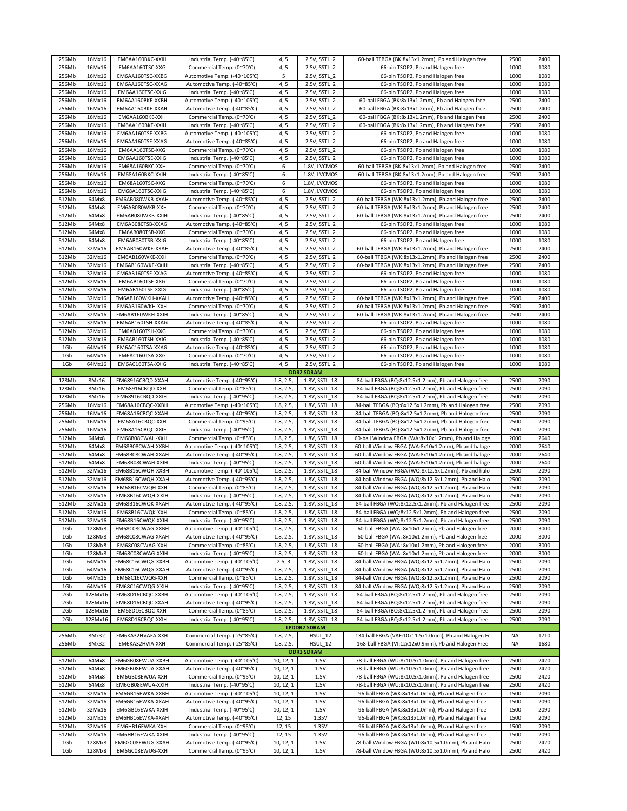| 256Mb | 16Mx16  | EM6AA160BKC-XXIH | Industrial Temp. (-40~85'C)  | 4, 5      | 2.5V, SSTL 2        | 60-ball TFBGA (BK:8x13x1.2mm), Pb and Halogen free   | 2500      | 2400 |
|-------|---------|------------------|------------------------------|-----------|---------------------|------------------------------------------------------|-----------|------|
| 256Mb | 16Mx16  | EM6AA160TSC-XXG  | Commercial Temp. (0~70'C)    | 4, 5      | 2.5V, SSTL 2        | 66-pin TSOP2, Pb and Halogen free                    | 1000      | 1080 |
|       |         |                  |                              |           |                     |                                                      |           |      |
| 256Mb | 16Mx16  | EM6AA160TSC-XXBG | Automotive Temp. (-40~105'C) | 5         | 2.5V, SSTL 2        | 66-pin TSOP2, Pb and Halogen free                    | 1000      | 1080 |
| 256Mb | 16Mx16  | EM6AA160TSC-XXAG | Automotive Temp. (-40~85'C)  | 4, 5      | 2.5V, SSTL_2        | 66-pin TSOP2, Pb and Halogen free                    | 1000      | 1080 |
| 256Mb | 16Mx16  | EM6AA160TSC-XXIG | Industrial Temp. (-40~85'C)  | 4, 5      | 2.5V, SSTL_2        | 66-pin TSOP2, Pb and Halogen free                    | 1000      | 1080 |
|       |         |                  |                              |           |                     |                                                      |           |      |
| 256Mb | 16Mx16  | EM6AA160BKE-XXBH | Automotive Temp. (-40~105'C) | 4, 5      | 2.5V, SSTL 2        | 60-ball FBGA (BK:8x13x1.2mm), Pb and Halogen free    | 2500      | 2400 |
| 256Mb | 16Mx16  | EM6AA160BKE-XXAH | Automotive Temp. (-40~85'C)  | 4, 5      | 2.5V, SSTL 2        | 60-ball FBGA (BK:8x13x1.2mm), Pb and Halogen free    | 2500      | 2400 |
| 256Mb | 16Mx16  | EM6AA160BKE-XXH  | Commercial Temp. (0~70'C)    | 4, 5      | 2.5V, SSTL 2        | 60-ball FBGA (BK:8x13x1.2mm), Pb and Halogen free    | 2500      | 2400 |
|       | 16Mx16  |                  |                              |           |                     | 60-ball FBGA (BK:8x13x1.2mm), Pb and Halogen free    | 2500      |      |
| 256Mb |         | EM6AA160BKE-XXIH | Industrial Temp. (-40~85'C)  | 4, 5      | 2.5V, SSTL 2        |                                                      |           | 2400 |
| 256Mb | 16Mx16  | EM6AA160TSE-XXBG | Automotive Temp. (-40~105'C) | 4, 5      | 2.5V, SSTL 2        | 66-pin TSOP2, Pb and Halogen free                    | 1000      | 1080 |
| 256Mb | 16Mx16  | EM6AA160TSE-XXAG | Automotive Temp. (-40~85'C)  | 4, 5      | 2.5V, SSTL_2        | 66-pin TSOP2, Pb and Halogen free                    | 1000      | 1080 |
| 256Mb | 16Mx16  | EM6AA160TSE-XXG  | Commercial Temp. (0~70'C)    | 4, 5      | 2.5V, SSTL 2        | 66-pin TSOP2, Pb and Halogen free                    | 1000      | 1080 |
|       |         |                  |                              |           |                     |                                                      |           |      |
| 256Mb | 16Mx16  | EM6AA160TSE-XXIG | Industrial Temp. (-40~85'C)  | 4, 5      | 2.5V, SSTL 2        | 66-pin TSOP2, Pb and Halogen free                    | 1000      | 1080 |
| 256Mb | 16Mx16  | EM68A160BKC-XXH  | Commercial Temp. (0~70'C)    | 6         | 1.8V, LVCMOS        | 60-ball TFBGA (BK:8x13x1.2mm), Pb and Halogen free   | 2500      | 2400 |
| 256Mb | 16Mx16  | EM68A160BKC-XXIH | Industrial Temp. (-40~85'C)  | 6         | 1.8V, LVCMOS        | 60-ball TFBGA (BK:8x13x1.2mm), Pb and Halogen free   | 2500      | 2400 |
| 256Mb | 16Mx16  | EM68A160TSC-XXG  | Commercial Temp. (0~70'C)    | 6         | 1.8V, LVCMOS        | 66-pin TSOP2, Pb and Halogen free                    | 1000      | 1080 |
|       |         |                  |                              |           |                     |                                                      |           |      |
| 256Mb | 16Mx16  | EM68A160TSC-XXIG | Industrial Temp. (-40~85'C)  | 6         | 1.8V, LVCMOS        | 66-pin TSOP2, Pb and Halogen free                    | 1000      | 1080 |
| 512Mb | 64Mx8   | EM6AB080WKB-XXAH | Automotive Temp. (-40~85'C)  | 4, 5      | 2.5V, SSTL 2        | 60-ball TFBGA (WK:8x13x1.2mm), Pb and Halogen free   | 2500      | 2400 |
| 512Mb | 64Mx8   | EM6AB080WKB-XXH  | Commercial Temp. (0~70'C)    | 4, 5      | 2.5V, SSTL 2        | 60-ball TFBGA (WK:8x13x1.2mm), Pb and Halogen free   | 2500      | 2400 |
|       |         |                  |                              |           |                     |                                                      |           |      |
| 512Mb | 64Mx8   | EM6AB080WKB-XXIH | Industrial Temp. (-40~85'C)  | 4, 5      | 2.5V, SSTL 2        | 60-ball TFBGA (WK:8x13x1.2mm), Pb and Halogen free   | 2500      | 2400 |
| 512Mb | 64Mx8   | EM6AB080TSB-XXAG | Automotive Temp. (-40~85'C)  | 4, 5      | 2.5V, SSTL 2        | 66-pin TSOP2, Pb and Halogen free                    | 1000      | 1080 |
| 512Mb | 64Mx8   | EM6AB080TSB-XXG  | Commercial Temp. (0~70'C)    | 4, 5      | 2.5V, SSTL_2        | 66-pin TSOP2, Pb and Halogen free                    | 1000      | 1080 |
| 512Mb | 64Mx8   |                  | Industrial Temp. (-40~85'C)  | 4,5       | 2.5V, SSTL 2        | 66-pin TSOP2, Pb and Halogen free                    | 1000      | 1080 |
|       |         | EM6AB080TSB-XXIG |                              |           |                     |                                                      |           |      |
| 512Mb | 32Mx16  | EM6AB160WKE-XXAH | Automotive Temp. (-40~85'C)  | 4, 5      | 2.5V, SSTL 2        | 60-ball TFBGA (WK:8x13x1.2mm), Pb and Halogen free   | 2500      | 2400 |
| 512Mb | 32Mx16  | EM6AB160WKE-XXH  | Commercial Temp. (0~70'C)    | 4, 5      | 2.5V, SSTL 2        | 60-ball TFBGA (WK:8x13x1.2mm), Pb and Halogen free   | 2500      | 2400 |
| 512Mb | 32Mx16  | EM6AB160WKE-XXIH | Industrial Temp. (-40~85'C)  | 4, 5      | 2.5V, SSTL 2        | 60-ball TFBGA (WK:8x13x1.2mm), Pb and Halogen free   | 2500      | 2400 |
|       |         |                  |                              |           |                     |                                                      |           |      |
| 512Mb | 32Mx16  | EM6AB160TSE-XXAG | Automotive Temp. (-40~85'C)  | 4, 5      | 2.5V, SSTL 2        | 66-pin TSOP2, Pb and Halogen free                    | 1000      | 1080 |
| 512Mb | 32Mx16  | EM6AB160TSE-XXG  | Commercial Temp. (0~70'C)    | 4, 5      | 2.5V, SSTL_2        | 66-pin TSOP2, Pb and Halogen free                    | 1000      | 1080 |
| 512Mb | 32Mx16  | EM6AB160TSE-XXIG | Industrial Temp. (-40~85'C)  | 4,5       | 2.5V, SSTL 2        | 66-pin TSOP2, Pb and Halogen free                    | 1000      | 1080 |
|       |         |                  |                              |           |                     |                                                      |           |      |
| 512Mb | 32Mx16  | EM6AB160WKH-XXAH | Automotive Temp. (-40~85'C)  | 4, 5      | 2.5V, SSTL 2        | 60-ball TFBGA (WK:8x13x1.2mm), Pb and Halogen free   | 2500      | 2400 |
| 512Mb | 32Mx16  | EM6AB160WKH-XXH  | Commercial Temp. (0~70'C)    | 4, 5      | 2.5V, SSTL_2        | 60-ball TFBGA (WK:8x13x1.2mm), Pb and Halogen free   | 2500      | 2400 |
| 512Mb | 32Mx16  | EM6AB160WKH-XXIH | Industrial Temp. (-40~85'C)  | 4, 5      | 2.5V, SSTL 2        | 60-ball TFBGA (WK:8x13x1.2mm), Pb and Halogen free   | 2500      | 2400 |
| 512Mb | 32Mx16  | EM6AB160TSH-XXAG | Automotive Temp. (-40~85'C)  | 4, 5      | 2.5V, SSTL_2        | 66-pin TSOP2, Pb and Halogen free                    | 1000      | 1080 |
|       |         |                  |                              |           |                     |                                                      |           |      |
| 512Mb | 32Mx16  | EM6AB160TSH-XXG  | Commercial Temp. (0~70'C)    | 4, 5      | 2.5V, SSTL 2        | 66-pin TSOP2, Pb and Halogen free                    | 1000      | 1080 |
| 512Mb | 32Mx16  | EM6AB160TSH-XXIG | Industrial Temp. (-40~85'C)  | 4, 5      | 2.5V, SSTL 2        | 66-pin TSOP2, Pb and Halogen free                    | 1000      | 1080 |
| 1Gb   | 64Mx16  | EM6AC160TSA-XXAG | Automotive Temp. (-40~85'C)  | 4, 5      | 2.5V, SSTL_2        | 66-pin TSOP2, Pb and Halogen free                    | 1000      | 1080 |
|       |         |                  |                              |           |                     |                                                      |           |      |
| 1Gb   | 64Mx16  | EM6AC160TSA-XXG  | Commercial Temp. (0~70'C)    | 4, 5      | 2.5V, SSTL 2        | 66-pin TSOP2, Pb and Halogen free                    | 1000      | 1080 |
| 1Gb   | 64Mx16  | EM6AC160TSA-XXIG | Industrial Temp. (-40~85'C)  | 4, 5      | 2.5V, SSTL 2        | 66-pin TSOP2, Pb and Halogen free                    | 1000      | 1080 |
|       |         |                  |                              |           | <b>DDR2 SDRAM</b>   |                                                      |           |      |
|       |         |                  |                              |           |                     |                                                      |           |      |
| 128Mb | 8Mx16   | EM68916CBQD-XXAH | Automotive Temp. (-40~95'C)  | 1.8, 2.5, | 1.8V, SSTL_18       | 84-ball FBGA (BQ:8x12.5x1.2mm), Pb and Halogen free  | 2500      | 2090 |
| 128Mb | 8Mx16   | EM68916CBQD-XXH  | Commercial Temp. (0~85'C)    | 1.8, 2.5, | 1.8V, SSTL 18       | 84-ball FBGA (BQ:8x12.5x1.2mm), Pb and Halogen free  | 2500      | 2090 |
| 128Mb | 8Mx16   | EM68916CBQD-XXIH | Industrial Temp. (-40~95'C)  | 1.8, 2.5, | 1.8V, SSTL_18       | 84-ball FBGA (BQ:8x12.5x1.2mm), Pb and Halogen free  | 2500      | 2090 |
| 256Mb | 16Mx16  | EM68A16CBQC-XXBH | Automotive Temp. (-40~105'C) | 1.8, 2.5, | 1.8V, SSTL 18       | 84-ball TFBGA (BQ:8x12.5x1.2mm), Pb and Halogen free | 2500      | 2090 |
|       |         |                  |                              |           |                     |                                                      |           |      |
| 256Mb | 16Mx16  | EM68A16CBQC-XXAH | Automotive Temp. (-40~95'C)  | 1.8, 2.5, | 1.8V, SSTL 18       | 84-ball TFBGA (BQ:8x12.5x1.2mm), Pb and Halogen free | 2500      | 2090 |
| 256Mb | 16Mx16  | EM68A16CBQC-XXH  | Commercial Temp. (0~95'C)    | 1.8, 2.5, | 1.8V, SSTL 18       | 84-ball TFBGA (BQ:8x12.5x1.2mm), Pb and Halogen free | 2500      | 2090 |
| 256Mb | 16Mx16  | EM68A16CBQC-XXIH | Industrial Temp. (-40~95'C)  | 1.8, 2.5, | 1.8V, SSTL 18       | 84-ball TFBGA (BQ:8x12.5x1.2mm), Pb and Halogen free | 2500      | 2090 |
|       | 64Mx8   |                  |                              |           |                     |                                                      |           | 2640 |
| 512Mb |         | EM68B08CWAH-XXH  | Commercial Temp. (0~85'C)    | 1.8, 2.5, | 1.8V, SSTL 18       | 60-ball Window FBGA (WA:8x10x1.2mm), Pb and Haloge   | 2000      |      |
| 512Mb | 64Mx8   | EM68B08CWAH-XXBH | Automotive Temp. (-40~105'C) | 1.8, 2.5, | 1.8V, SSTL 18       | 60-ball Window FBGA (WA:8x10x1.2mm), Pb and haloge   | 2000      | 2640 |
| 512Mb | 64Mx8   | EM68B08CWAH-XXAH | Automotive Temp. (-40~95'C)  | 1.8, 2.5, | 1.8V, SSTL 18       | 60-ball Window FBGA (WA:8x10x1.2mm), Pb and haloge   | 2000      | 2640 |
| 512Mb | 64Mx8   | EM68B08CWAH-XXIH | Industrial Temp. (-40~95'C)  | 1.8, 2.5, | 1.8V, SSTL 18       |                                                      |           |      |
|       |         |                  |                              |           |                     |                                                      |           |      |
|       |         |                  |                              |           |                     | 60-ball Window FBGA (WA:8x10x1.2mm), Pb and haloge   | 2000      | 2640 |
| 512Mb | 32Mx16  | EM68B16CWQH-XXBH | Automotive Temp. (-40~105'C) | 1.8, 2.5, | 1.8V, SSTL_18       | 84-ball Window FBGA (WQ:8x12.5x1.2mm), Pb and halo   | 2500      | 2090 |
| 512Mb | 32Mx16  | EM68B16CWQH-XXAH | Automotive Temp. (-40~95'C)  | 1.8, 2.5, | 1.8V, SSTL_18       | 84-ball Window FBGA (WQ:8x12.5x1.2mm), Pb and Halo   | 2500      | 2090 |
|       |         |                  |                              |           |                     |                                                      |           |      |
| 512Mb | 32Mx16  | EM68B16CWQH-XXH  | Commercial Temp. (0~85'C)    | 1.8, 2.5, | 1.8V, SSTL 18       | 84-ball Window FBGA (WQ:8x12.5x1.2mm), Pb and Halo   | 2500      | 2090 |
| 512Mb | 32Mx16  | EM68B16CWQH-XXIH | Industrial Temp. (-40~95'C)  | 1.8, 2.5, | 1.8V, SSTL 18       | 84-ball Window FBGA (WQ:8x12.5x1.2mm), Pb and Halo   | 2500      | 2090 |
| 512Mb | 32Mx16  | EM68B16CWQK-XXAH | Automotive Temp. (-40~95'C)  | 1.8, 2.5, | 1.8V, SSTL_18       | 84-ball FBGA (WQ:8x12.5x1.2mm), Pb and Halogen free  | 2500      | 2090 |
| 512Mb | 32Mx16  | EM68B16CWQK-XXH  | Commercial Temp. (0~85'C)    | 1.8, 2.5, | 1.8V, SSTL 18       | 84-ball FBGA (WQ:8x12.5x1.2mm), Pb and Halogen free  | 2500      | 2090 |
|       |         |                  |                              |           |                     |                                                      |           |      |
| 512Mb | 32Mx16  | EM68B16CWQK-XXIH | Industrial Temp. (-40~95'C)  | 1.8, 2.5, | 1.8V, SSTL 18       | 84-ball FBGA (WQ:8x12.5x1.2mm), Pb and Halogen free  | 2500      | 2090 |
| 1Gb   | 128Mx8  | EM68C08CWAG-XXBH | Automotive Temp. (-40~105'C) | 1.8, 2.5, | 1.8V, SSTL_18       | 60-ball FBGA (WA: 8x10x1.2mm), Pb and Halogen free   | 2000      | 3000 |
| 1Gb   | 128Mx8  | EM68C08CWAG-XXAH | Automotive Temp. (-40~95'C)  | 1.8, 2.5, | 1.8V, SSTL_18       | 60-ball FBGA (WA: 8x10x1.2mm), Pb and Halogen free   | 2000      | 3000 |
| 1Gb   | 128Mx8  | EM68C08CWAG-XXH  | Commercial Temp. (0~85'C)    | 1.8, 2.5, | 1.8V, SSTL_18       | 60-ball FBGA (WA: 8x10x1.2mm), Pb and Halogen free   | 2000      | 3000 |
|       |         |                  |                              |           |                     |                                                      |           |      |
| 1Gb   | 128Mx8  | EM68C08CWAG-XXIH | Industrial Temp. (-40~95'C)  | 1.8, 2.5, | 1.8V, SSTL_18       | 60-ball FBGA (WA: 8x10x1.2mm), Pb and Halogen free   | 2000      | 3000 |
| 1Gb   | 64Mx16  | EM68C16CWQG-XXBH | Automotive Temp. (-40~105'C) | 2.5, 3    | 1.8V, SSTL 18       | 84-ball Window FBGA (WQ:8x12.5x1.2mm), Pb and Halo   | 2500      | 2090 |
| 1Gb   | 64Mx16  | EM68C16CWQG-XXAH | Automotive Temp. (-40~95'C)  | 1.8, 2.5, | 1.8V, SSTL_18       | 84-ball Window FBGA (WQ:8x12.5x1.2mm), Pb and Halo   | 2500      | 2090 |
|       |         |                  |                              |           |                     |                                                      |           |      |
| 1Gb   | 64Mx16  | EM68C16CWQG-XXH  | Commercial Temp. (0~85'C)    | 1.8, 2.5, | 1.8V, SSTL_18       | 84-ball Window FBGA (WQ:8x12.5x1.2mm), Pb and Halo   | 2500      | 2090 |
| 1Gb   | 64Mx16  | EM68C16CWQG-XXIH | Industrial Temp. (-40~95'C)  | 1.8, 2.5, | 1.8V, SSTL_18       | 84-ball Window FBGA (WQ:8x12.5x1.2mm), Pb and Halo   | 2500      | 2090 |
| 2Gb   | 128Mx16 | EM68D16CBQC-XXBH | Automotive Temp. (-40~105'C) | 1.8, 2.5, | 1.8V, SSTL 18       | 84-ball FBGA (BQ:8x12.5x1.2mm), Pb and Halogen free  | 2500      | 2090 |
| 2Gb   | 128Mx16 | EM68D16CBQC-XXAH | Automotive Temp. (-40~95'C)  |           |                     | 84-ball FBGA (BQ:8x12.5x1.2mm), Pb and Halogen free  | 2500      | 2090 |
|       |         |                  |                              | 1.8, 2.5, | 1.8V, SSTL_18       |                                                      |           |      |
| 2Gb   | 128Mx16 | EM68D16CBQC-XXH  | Commercial Temp. (0~85'C)    | 1.8, 2.5, | 1.8V, SSTL_18       | 84-ball FBGA (BQ:8x12.5x1.2mm), Pb and Halogen free  | 2500      | 2090 |
| 2Gb   | 128Mx16 | EM68D16CBQC-XXIH | Industrial Temp. (-40~95'C)  | 1.8, 2.5, | 1.8V, SSTL_18       | 84-ball FBGA (BQ:8x12.5x1.2mm), Pb and Halogen free  | 2500      | 2090 |
|       |         |                  |                              |           | <b>LPDDR2 SDRAM</b> |                                                      |           |      |
|       |         |                  |                              |           |                     |                                                      |           |      |
| 256Mb | 8Mx32   | EM6KA32HVAFA-XXH | Commercial Temp. (-25~85'C)  | 1.8, 2.5, | <b>HSUL_12</b>      | 134-ball FBGA (VAF:10x11.5x1.0mm), Pb and Halogen Fr | NA        | 1710 |
| 256Mb | 8Mx32   | EM6KA32HVIA-XXH  | Commercial Temp. (-25~85'C)  | 1.8, 2.5, | HSUL 12             | 168-ball FBGA (VI:12x12x0.9mm), Pb and Halogen Free  | <b>NA</b> | 1680 |
|       |         |                  |                              |           | <b>DDR3 SDRAM</b>   |                                                      |           |      |
| 512Mb | 64Mx8   | EM6GB08EWUA-XXBH | Automotive Temp. (-40~105'C) | 10, 12, 1 | 1.5V                | 78-ball FBGA (WU:8x10.5x1.0mm), Pb and Halogen free  | 2500      | 2420 |
|       |         |                  |                              |           |                     |                                                      |           |      |
| 512Mb | 64Mx8   | EM6GB08EWUA-XXAH | Automotive Temp. (-40~95'C)  | 10, 12, 1 | 1.5V                | 78-ball FBGA (WU:8x10.5x1.0mm), Pb and Halogen free  | 2500      | 2420 |
| 512Mb | 64Mx8   | EM6GB08EWUA-XXH  | Commercial Temp. (0~95'C)    | 10, 12, 1 | 1.5V                | 78-ball FBGA (WU:8x10.5x1.0mm), Pb and Halogen free  | 2500      | 2420 |
| 512Mb | 64Mx8   | EM6GB08EWUA-XXIH | Industrial Temp. (-40~95'C)  | 10, 12, 1 | 1.5V                | 78-ball FBGA (WU:8x10.5x1.0mm), Pb and Halogen free  | 2500      | 2420 |
|       |         |                  |                              |           |                     |                                                      |           |      |
| 512Mb | 32Mx16  | EM6GB16EWKA-XXBH | Automotive Temp. (-40~105'C) | 10, 12, 1 | 1.5V                | 96-ball FBGA (WK:8x13x1.0mm), Pb and Halogen free    | 1500      | 2090 |
| 512Mb | 32Mx16  | EM6GB16EWKA-XXAH | Automotive Temp. (-40~95'C)  | 10, 12, 1 | 1.5V                | 96-ball FBGA (WK:8x13x1.0mm), Pb and Halogen free    | 1500      | 2090 |
| 512Mb | 32Mx16  | EM6GB16EWKA-XXIH | Industrial Temp. (-40~95'C)  | 10, 12, 1 | 1.5V                | 96-ball FBGA (WK:8x13x1.0mm), Pb and Halogen free    | 1500      | 2090 |
| 512Mb | 32Mx16  |                  |                              |           | 1.35V               |                                                      | 1500      | 2090 |
|       |         | EM6HB16EWKA-XXAH | Automotive Temp. (-40~95'C)  | 12, 15    |                     | 96-ball FBGA (WK:8x13x1.0mm), Pb and Halogen free    |           |      |
| 512Mb | 32Mx16  | EM6HB16EWKA-XXH  | Commercial Temp. (0~95'C)    | 12, 15    | 1.35V               | 96-ball FBGA (WK:8x13x1.0mm), Pb and Halogen free    | 1500      | 2090 |
| 512Mb | 32Mx16  | EM6HB16EWKA-XXIH | Industrial Temp. (-40~95'C)  | 12, 15    | 1.35V               | 96-ball FBGA (WK:8x13x1.0mm), Pb and Halogen free    | 1500      | 2090 |
| 1Gb   | 128Mx8  | EM6GC08EWUG-XXAH | Automotive Temp. (-40~95'C)  | 10, 12, 1 | 1.5V                | 78-ball Window FBGA (WU:8x10.5x1.0mm), Pb and Halo   | 2500      | 2420 |
| 1Gb   | 128Mx8  | EM6GC08EWUG-XXH  | Commercial Temp. (0~95'C)    | 10, 12, 1 | $1.5V$              | 78-ball Window FBGA (WU:8x10.5x1.0mm), Pb and Halo   | 2500      | 2420 |